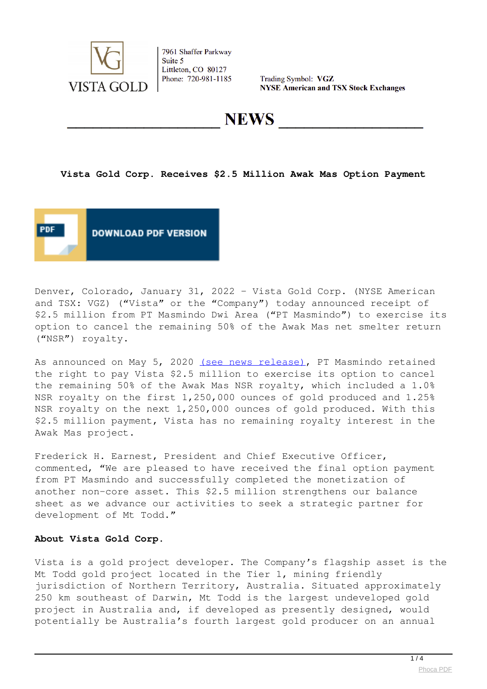

7961 Shaffer Parkway Suite 5 Littleton, CO 80127 Phone: 720-981-1185

Trading Symbol: VGZ **NYSE American and TSX Stock Exchanges** 

**NEWS** 

**Vista Gold Corp. Receives \$2.5 Million Awak Mas Option Payment**



Denver, Colorado, January 31, 2022 – Vista Gold Corp. (NYSE American and TSX: VGZ) ("Vista" or the "Company") today announced receipt of \$2.5 million from PT Masmindo Dwi Area ("PT Masmindo") to exercise its option to cancel the remaining 50% of the Awak Mas net smelter return ("NSR") royalty.

As announced on May 5, 2020 [\(see news release\),](news/news-2020/647-istaoldorpeceives24illionwakasptionaym20200505221100) PT Masmindo retained the right to pay Vista \$2.5 million to exercise its option to cancel the remaining 50% of the Awak Mas NSR royalty, which included a 1.0% NSR royalty on the first 1,250,000 ounces of gold produced and 1.25% NSR royalty on the next 1,250,000 ounces of gold produced. With this \$2.5 million payment, Vista has no remaining royalty interest in the Awak Mas project.

Frederick H. Earnest, President and Chief Executive Officer, commented, "We are pleased to have received the final option payment from PT Masmindo and successfully completed the monetization of another non-core asset. This \$2.5 million strengthens our balance sheet as we advance our activities to seek a strategic partner for development of Mt Todd."

#### **About Vista Gold Corp.**

Vista is a gold project developer. The Company's flagship asset is the Mt Todd gold project located in the Tier 1, mining friendly jurisdiction of Northern Territory, Australia. Situated approximately 250 km southeast of Darwin, Mt Todd is the largest undeveloped gold project in Australia and, if developed as presently designed, would potentially be Australia's fourth largest gold producer on an annual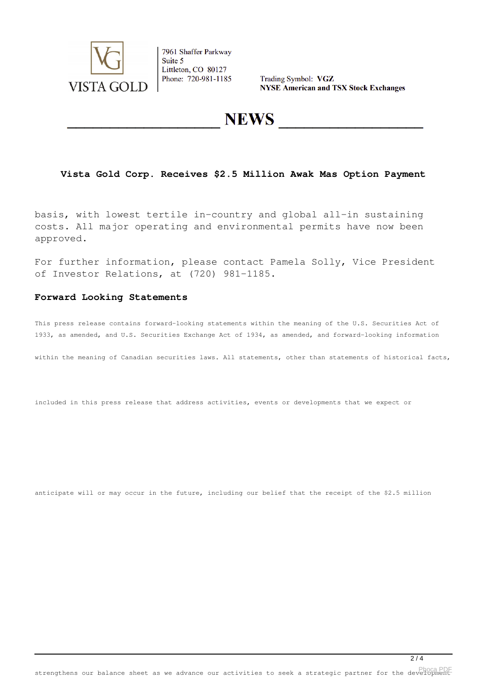

7961 Shaffer Parkway Suite 5 Littleton, CO 80127 Phone: 720-981-1185

Trading Symbol: VGZ **NYSE American and TSX Stock Exchanges** 

## **NEWS**

## **Vista Gold Corp. Receives \$2.5 Million Awak Mas Option Payment**

basis, with lowest tertile in-country and global all-in sustaining costs. All major operating and environmental permits have now been approved.

For further information, please contact Pamela Solly, Vice President of Investor Relations, at (720) 981-1185.

#### **Forward Looking Statements**

This press release contains forward-looking statements within the meaning of the U.S. Securities Act of 1933, as amended, and U.S. Securities Exchange Act of 1934, as amended, and forward-looking information

within the meaning of Canadian securities laws. All statements, other than statements of historical facts,

included in this press release that address activities, events or developments that we expect or

anticipate will or may occur in the future, including our belief that the receipt of the \$2.5 million

strengthens our balance sheet as we advance our activities to seek a strategic partner for the development [Phoca PDF](http://www.phoca.cz/phocapdf)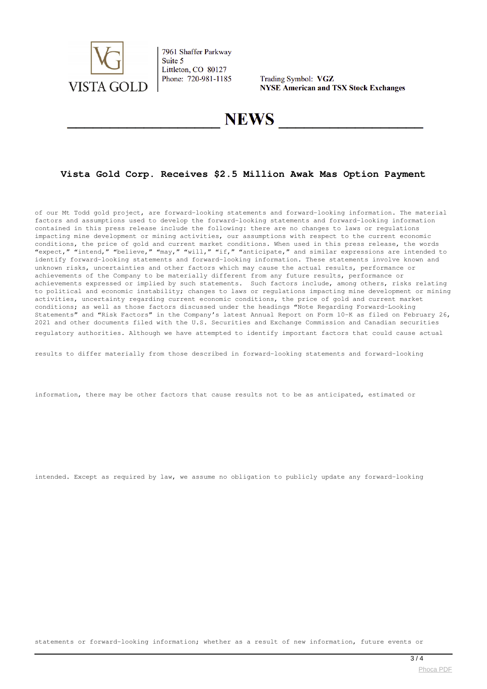

7961 Shaffer Parkway Suite 5 Littleton, CO 80127 Phone: 720-981-1185

Trading Symbol: VGZ **NYSE American and TSX Stock Exchanges** 

# **NEWS**

## **Vista Gold Corp. Receives \$2.5 Million Awak Mas Option Payment**

of our Mt Todd gold project, are forward-looking statements and forward-looking information. The material factors and assumptions used to develop the forward-looking statements and forward-looking information contained in this press release include the following: there are no changes to laws or regulations impacting mine development or mining activities, our assumptions with respect to the current economic conditions, the price of gold and current market conditions. When used in this press release, the words "expect," "intend," "believe," "may," "will," "if," "anticipate," and similar expressions are intended to identify forward-looking statements and forward-looking information. These statements involve known and unknown risks, uncertainties and other factors which may cause the actual results, performance or achievements of the Company to be materially different from any future results, performance or achievements expressed or implied by such statements. Such factors include, among others, risks relating to political and economic instability; changes to laws or regulations impacting mine development or mining activities, uncertainty regarding current economic conditions, the price of gold and current market conditions; as well as those factors discussed under the headings "Note Regarding Forward-Looking Statements" and "Risk Factors" in the Company's latest Annual Report on Form 10-K as filed on February 26, 2021 and other documents filed with the U.S. Securities and Exchange Commission and Canadian securities regulatory authorities. Although we have attempted to identify important factors that could cause actual

results to differ materially from those described in forward-looking statements and forward-looking

information, there may be other factors that cause results not to be as anticipated, estimated or

intended. Except as required by law, we assume no obligation to publicly update any forward-looking

statements or forward-looking information; whether as a result of new information, future events or